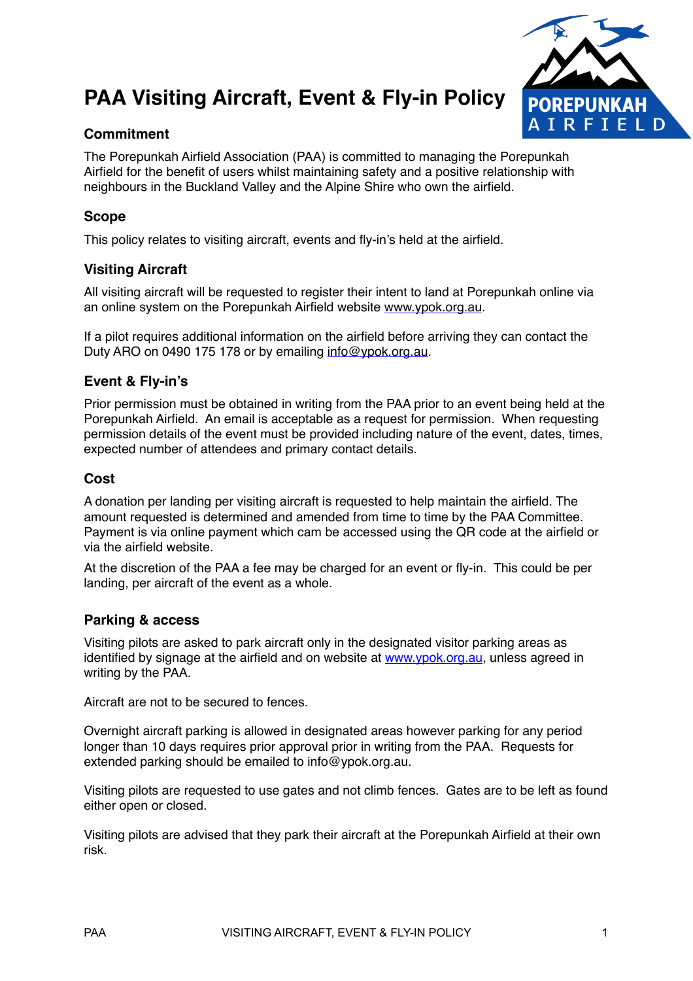# **PAA Visiting Aircraft, Event & Fly-in Policy**



# **Commitment**

The Porepunkah Airfield Association (PAA) is committed to managing the Porepunkah Airfield for the benefit of users whilst maintaining safety and a positive relationship with neighbours in the Buckland Valley and the Alpine Shire who own the airfield.

# **Scope**

This policy relates to visiting aircraft, events and fly-in's held at the airfield.

## **Visiting Aircraft**

All visiting aircraft will be requested to register their intent to land at Porepunkah online via an online system on the Porepunkah Airfield website [www.ypok.org.au.](http://www.ypok.org.au)

If a pilot requires additional information on the airfield before arriving they can contact the Duty ARO on 0490 175 178 or by emailing [info@ypok.org.au.](mailto:info@ypok.org.au)

## **Event & Fly-in's**

Prior permission must be obtained in writing from the PAA prior to an event being held at the Porepunkah Airfield. An email is acceptable as a request for permission. When requesting permission details of the event must be provided including nature of the event, dates, times, expected number of attendees and primary contact details.

## **Cost**

A donation per landing per visiting aircraft is requested to help maintain the airfield. The amount requested is determined and amended from time to time by the PAA Committee. Payment is via online payment which cam be accessed using the QR code at the airfield or via the airfield website.

At the discretion of the PAA a fee may be charged for an event or fly-in. This could be per landing, per aircraft of the event as a whole.

## **Parking & access**

Visiting pilots are asked to park aircraft only in the designated visitor parking areas as identified by signage at the airfield and on website at [www.ypok.org.au](http://www.ypok.org.au), unless agreed in writing by the PAA.

Aircraft are not to be secured to fences.

Overnight aircraft parking is allowed in designated areas however parking for any period longer than 10 days requires prior approval prior in writing from the PAA. Requests for extended parking should be emailed to info@ypok.org.au.

Visiting pilots are requested to use gates and not climb fences. Gates are to be left as found either open or closed.

Visiting pilots are advised that they park their aircraft at the Porepunkah Airfield at their own risk.